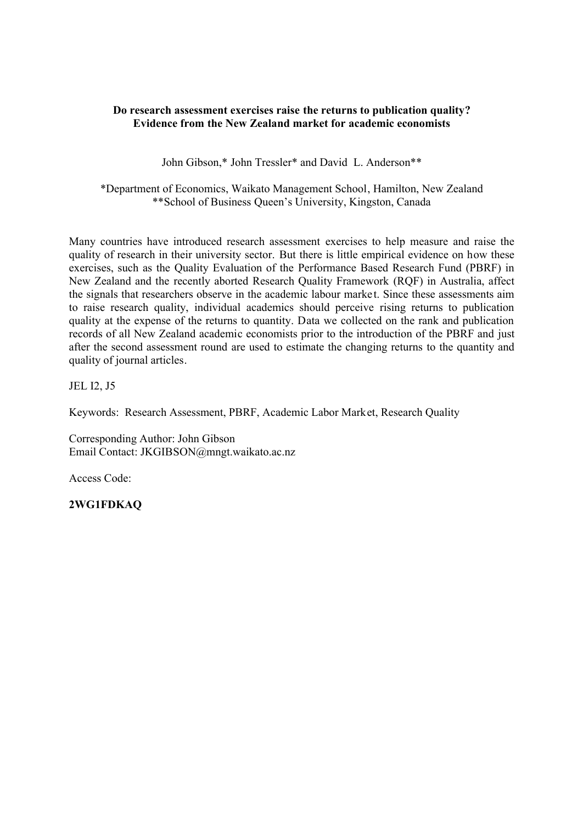# **Do research assessment exercises raise the returns to publication quality? Evidence from the New Zealand market for academic economists**

John Gibson,\* John Tressler\* and David L. Anderson\*\*

\*Department of Economics, Waikato Management School, Hamilton, New Zealand \*\*School of Business Queen's University, Kingston, Canada

Many countries have introduced research assessment exercises to help measure and raise the quality of research in their university sector. But there is little empirical evidence on how these exercises, such as the Quality Evaluation of the Performance Based Research Fund (PBRF) in New Zealand and the recently aborted Research Quality Framework (RQF) in Australia, affect the signals that researchers observe in the academic labour market. Since these assessments aim to raise research quality, individual academics should perceive rising returns to publication quality at the expense of the returns to quantity. Data we collected on the rank and publication records of all New Zealand academic economists prior to the introduction of the PBRF and just after the second assessment round are used to estimate the changing returns to the quantity and quality of journal articles.

JEL I2, J5

Keywords: Research Assessment, PBRF, Academic Labor Market, Research Quality

Corresponding Author: John Gibson Email Contact: JKGIBSON@mngt.waikato.ac.nz

Access Code:

**2WG1FDKAQ**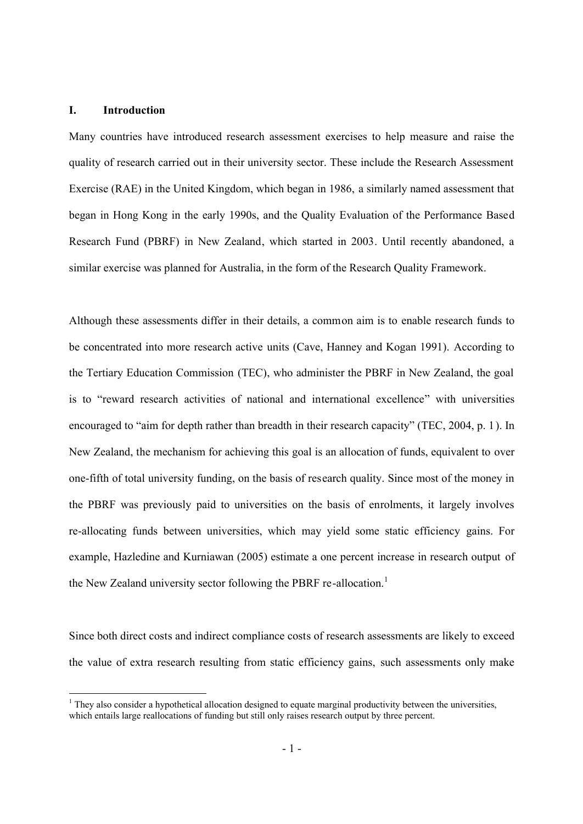### **I. Introduction**

Many countries have introduced research assessment exercises to help measure and raise the quality of research carried out in their university sector. These include the Research Assessment Exercise (RAE) in the United Kingdom, which began in 1986, a similarly named assessment that began in Hong Kong in the early 1990s, and the Quality Evaluation of the Performance Based Research Fund (PBRF) in New Zealand, which started in 2003. Until recently abandoned, a similar exercise was planned for Australia, in the form of the Research Quality Framework.

Although these assessments differ in their details, a common aim is to enable research funds to be concentrated into more research active units (Cave, Hanney and Kogan 1991). According to the Tertiary Education Commission (TEC), who administer the PBRF in New Zealand, the goal is to "reward research activities of national and international excellence" with universities encouraged to "aim for depth rather than breadth in their research capacity" (TEC, 2004, p. 1). In New Zealand, the mechanism for achieving this goal is an allocation of funds, equivalent to over one-fifth of total university funding, on the basis of research quality. Since most of the money in the PBRF was previously paid to universities on the basis of enrolments, it largely involves re-allocating funds between universities, which may yield some static efficiency gains. For example, Hazledine and Kurniawan (2005) estimate a one percent increase in research output of the New Zealand university sector following the PBRF re-allocation.<sup>1</sup>

Since both direct costs and indirect compliance costs of research assessments are likely to exceed the value of extra research resulting from static efficiency gains, such assessments only make

 $<sup>1</sup>$  They also consider a hypothetical allocation designed to equate marginal productivity between the universities,</sup> which entails large reallocations of funding but still only raises research output by three percent.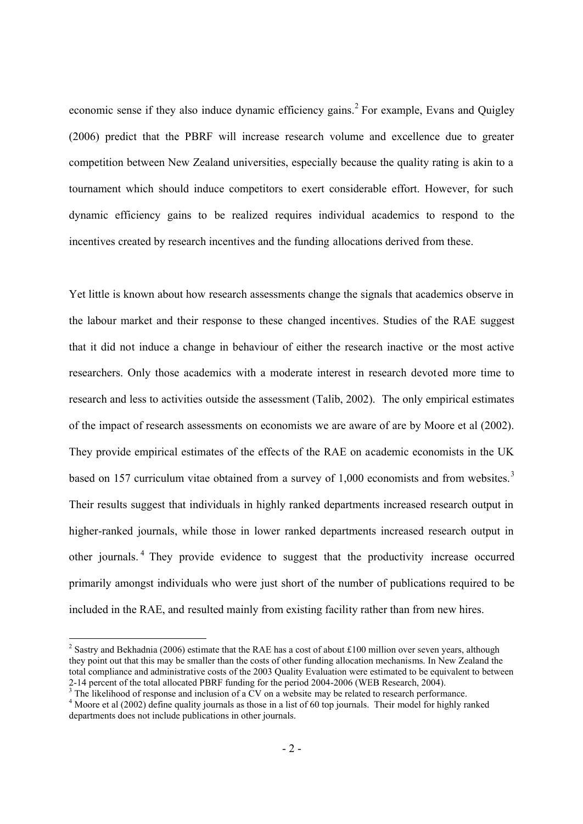economic sense if they also induce dynamic efficiency gains.<sup>2</sup> For example, Evans and Quigley (2006) predict that the PBRF will increase research volume and excellence due to greater competition between New Zealand universities, especially because the quality rating is akin to a tournament which should induce competitors to exert considerable effort. However, for such dynamic efficiency gains to be realized requires individual academics to respond to the incentives created by research incentives and the funding allocations derived from these.

Yet little is known about how research assessments change the signals that academics observe in the labour market and their response to these changed incentives. Studies of the RAE suggest that it did not induce a change in behaviour of either the research inactive or the most active researchers. Only those academics with a moderate interest in research devoted more time to research and less to activities outside the assessment (Talib, 2002). The only empirical estimates of the impact of research assessments on economists we are aware of are by Moore et al (2002). They provide empirical estimates of the effects of the RAE on academic economists in the UK based on 157 curriculum vitae obtained from a survey of 1,000 economists and from websites.<sup>3</sup> Their results suggest that individuals in highly ranked departments increased research output in higher-ranked journals, while those in lower ranked departments increased research output in other journals.<sup>4</sup> They provide evidence to suggest that the productivity increase occurred primarily amongst individuals who were just short of the number of publications required to be included in the RAE, and resulted mainly from existing facility rather than from new hires.

<sup>&</sup>lt;sup>2</sup> Sastry and Bekhadnia (2006) estimate that the RAE has a cost of about £100 million over seven years, although they point out that this may be smaller than the costs of other funding allocation mechanisms. In New Zealand the total compliance and administrative costs of the 2003 Quality Evaluation were estimated to be equivalent to between 2-14 percent of the total allocated PBRF funding for the period 2004-2006 (WEB Research, 2004).

 $3$  The likelihood of response and inclusion of a CV on a website may be related to research performance.

<sup>&</sup>lt;sup>4</sup> Moore et al (2002) define quality journals as those in a list of 60 top journals. Their model for highly ranked departments does not include publications in other journals.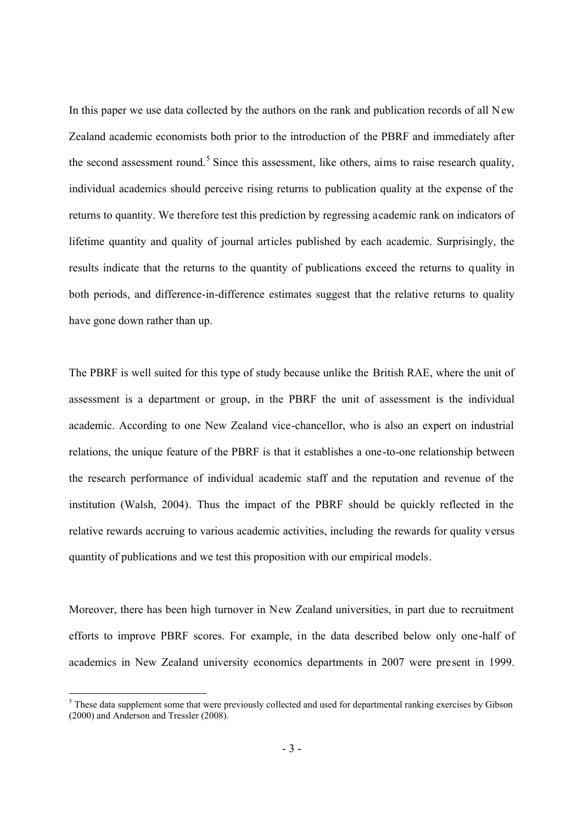In this paper we use data collected by the authors on the rank and publication records of all New Zealand academic economists both prior to the introduction of the PBRF and immediately after the second assessment round.<sup>5</sup> Since this assessment, like others, aims to raise research quality, individual academics should perceive rising returns to publication quality at the expense of the returns to quantity. We therefore test this prediction by regressing academic rank on indicators of lifetime quantity and quality of journal articles published by each academic. Surprisingly, the results indicate that the returns to the quantity of publications exceed the returns to quality in both periods, and difference-in-difference estimates suggest that the relative returns to quality have gone down rather than up.

The PBRF is well suited for this type of study because unlike the British RAE, where the unit of assessment is a department or group, in the PBRF the unit of assessment is the individual academic. According to one New Zealand vice-chancellor, who is also an expert on industrial relations, the unique feature of the PBRF is that it establishes a one-to-one relationship between the research performance of individual academic staff and the reputation and revenue of the institution (Walsh, 2004). Thus the impact of the PBRF should be quickly reflected in the relative rewards accruing to various academic activities, including the rewards for quality versus quantity of publications and we test this proposition with our empirical models.

Moreover, there has been high turnover in New Zealand universities, in part due to recruitment efforts to improve PBRF scores. For example, in the data described below only one-half of academics in New Zealand university economics departments in 2007 were present in 1999.

 $<sup>5</sup>$  These data supplement some that were previously collected and used for departmental ranking exercises by Gibson</sup> (2000) and Anderson and Tressler (2008).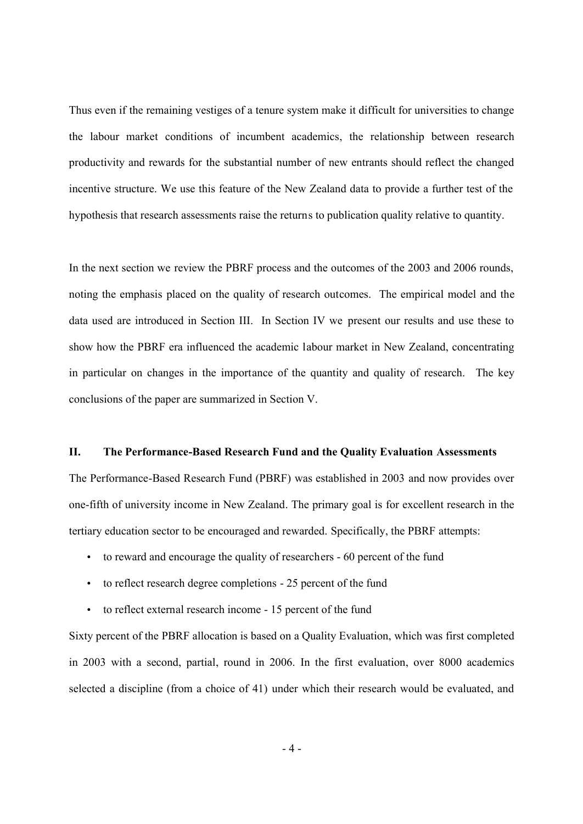Thus even if the remaining vestiges of a tenure system make it difficult for universities to change the labour market conditions of incumbent academics, the relationship between research productivity and rewards for the substantial number of new entrants should reflect the changed incentive structure. We use this feature of the New Zealand data to provide a further test of the hypothesis that research assessments raise the returns to publication quality relative to quantity.

In the next section we review the PBRF process and the outcomes of the 2003 and 2006 rounds, noting the emphasis placed on the quality of research outcomes. The empirical model and the data used are introduced in Section III. In Section IV we present our results and use these to show how the PBRF era influenced the academic labour market in New Zealand, concentrating in particular on changes in the importance of the quantity and quality of research. The key conclusions of the paper are summarized in Section V.

### **II. The Performance-Based Research Fund and the Quality Evaluation Assessments**

The Performance-Based Research Fund (PBRF) was established in 2003 and now provides over one-fifth of university income in New Zealand. The primary goal is for excellent research in the tertiary education sector to be encouraged and rewarded. Specifically, the PBRF attempts:

- to reward and encourage the quality of researchers 60 percent of the fund
- to reflect research degree completions 25 percent of the fund
- to reflect external research income 15 percent of the fund

Sixty percent of the PBRF allocation is based on a Quality Evaluation, which was first completed in 2003 with a second, partial, round in 2006. In the first evaluation, over 8000 academics selected a discipline (from a choice of 41) under which their research would be evaluated, and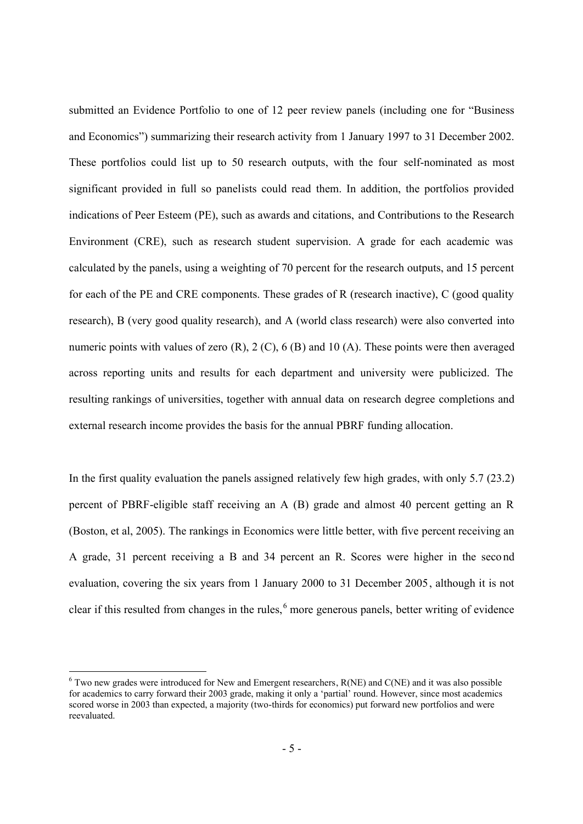submitted an Evidence Portfolio to one of 12 peer review panels (including one for "Business and Economics") summarizing their research activity from 1 January 1997 to 31 December 2002. These portfolios could list up to 50 research outputs, with the four self-nominated as most significant provided in full so panelists could read them. In addition, the portfolios provided indications of Peer Esteem (PE), such as awards and citations, and Contributions to the Research Environment (CRE), such as research student supervision. A grade for each academic was calculated by the panels, using a weighting of 70 percent for the research outputs, and 15 percent for each of the PE and CRE components. These grades of R (research inactive), C (good quality research), B (very good quality research), and A (world class research) were also converted into numeric points with values of zero (R), 2 (C), 6 (B) and 10 (A). These points were then averaged across reporting units and results for each department and university were publicized. The resulting rankings of universities, together with annual data on research degree completions and external research income provides the basis for the annual PBRF funding allocation.

In the first quality evaluation the panels assigned relatively few high grades, with only 5.7 (23.2) percent of PBRF-eligible staff receiving an A (B) grade and almost 40 percent getting an R (Boston, et al, 2005). The rankings in Economics were little better, with five percent receiving an A grade, 31 percent receiving a B and 34 percent an R. Scores were higher in the seco nd evaluation, covering the six years from 1 January 2000 to 31 December 2005, although it is not clear if this resulted from changes in the rules,  $6$  more generous panels, better writing of evidence

 $6$  Two new grades were introduced for New and Emergent researchers, R(NE) and C(NE) and it was also possible for academics to carry forward their 2003 grade, making it only a 'partial' round. However, since most academics scored worse in 2003 than expected, a majority (two-thirds for economics) put forward new portfolios and were reevaluated.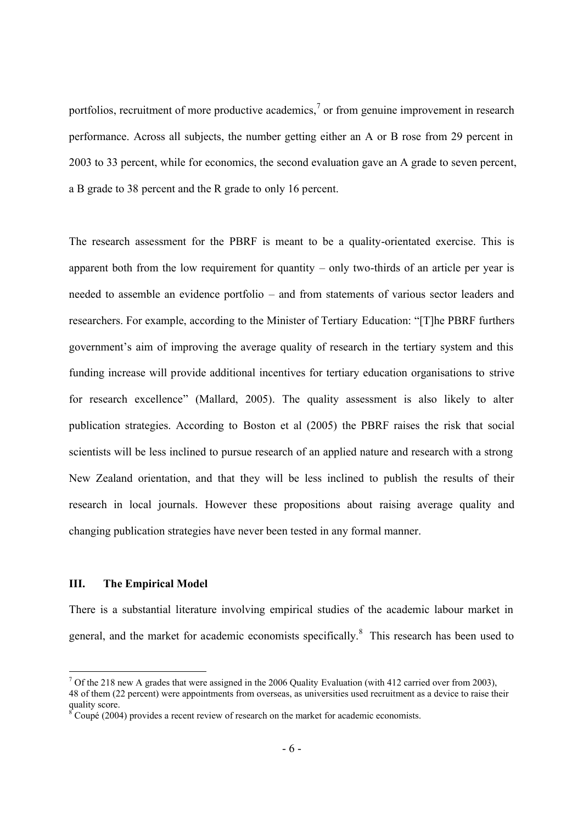portfolios, recruitment of more productive academics,<sup>7</sup> or from genuine improvement in research performance. Across all subjects, the number getting either an A or B rose from 29 percent in 2003 to 33 percent, while for economics, the second evaluation gave an A grade to seven percent, a B grade to 38 percent and the R grade to only 16 percent.

The research assessment for the PBRF is meant to be a quality-orientated exercise. This is apparent both from the low requirement for quantity – only two-thirds of an article per year is needed to assemble an evidence portfolio – and from statements of various sector leaders and researchers. For example, according to the Minister of Tertiary Education: "[T]he PBRF furthers government's aim of improving the average quality of research in the tertiary system and this funding increase will provide additional incentives for tertiary education organisations to strive for research excellence" (Mallard, 2005). The quality assessment is also likely to alter publication strategies. According to Boston et al (2005) the PBRF raises the risk that social scientists will be less inclined to pursue research of an applied nature and research with a strong New Zealand orientation, and that they will be less inclined to publish the results of their research in local journals. However these propositions about raising average quality and changing publication strategies have never been tested in any formal manner.

# **III. The Empirical Model**

There is a substantial literature involving empirical studies of the academic labour market in general, and the market for academic economists specifically.<sup>8</sup> This research has been used to

<sup>&</sup>lt;sup>7</sup> Of the 218 new A grades that were assigned in the 2006 Quality Evaluation (with 412 carried over from 2003), 48 of them (22 percent) were appointments from overseas, as universities used recruitment as a device to raise their quality score.

 $\delta^{\circ}$ Coupé (2004) provides a recent review of research on the market for academic economists.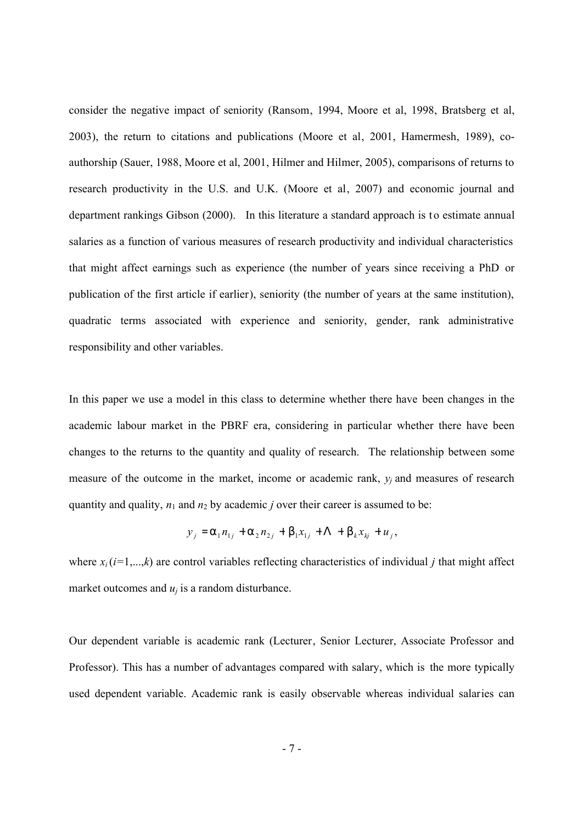consider the negative impact of seniority (Ransom, 1994, Moore et al, 1998, Bratsberg et al, 2003), the return to citations and publications (Moore et al, 2001, Hamermesh, 1989), coauthorship (Sauer, 1988, Moore et al, 2001, Hilmer and Hilmer, 2005), comparisons of returns to research productivity in the U.S. and U.K. (Moore et al, 2007) and economic journal and department rankings Gibson (2000). In this literature a standard approach is to estimate annual salaries as a function of various measures of research productivity and individual characteristics that might affect earnings such as experience (the number of years since receiving a PhD or publication of the first article if earlier), seniority (the number of years at the same institution), quadratic terms associated with experience and seniority, gender, rank administrative responsibility and other variables.

In this paper we use a model in this class to determine whether there have been changes in the academic labour market in the PBRF era, considering in particular whether there have been changes to the returns to the quantity and quality of research. The relationship between some measure of the outcome in the market, income or academic rank, *y<sup>j</sup>* and measures of research quantity and quality,  $n_1$  and  $n_2$  by academic *j* over their career is assumed to be:

$$
y_j = a_1 n_{1j} + a_2 n_{2j} + b_1 x_{1j} + \Lambda + b_k x_{kj} + u_j,
$$

where  $x_i$  ( $i=1,...,k$ ) are control variables reflecting characteristics of individual *j* that might affect market outcomes and  $u_i$  is a random disturbance.

Our dependent variable is academic rank (Lecturer, Senior Lecturer, Associate Professor and Professor). This has a number of advantages compared with salary, which is the more typically used dependent variable. Academic rank is easily observable whereas individual salaries can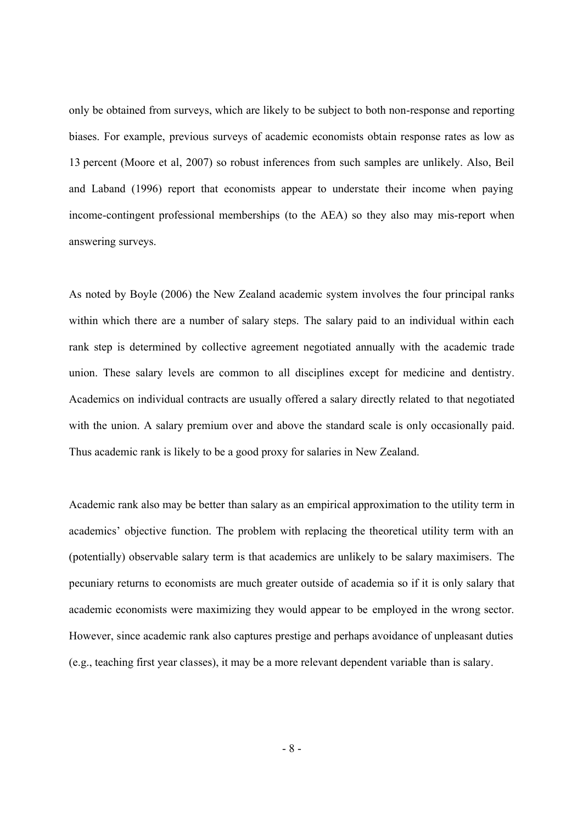only be obtained from surveys, which are likely to be subject to both non-response and reporting biases. For example, previous surveys of academic economists obtain response rates as low as 13 percent (Moore et al, 2007) so robust inferences from such samples are unlikely. Also, Beil and Laband (1996) report that economists appear to understate their income when paying income-contingent professional memberships (to the AEA) so they also may mis-report when answering surveys.

As noted by Boyle (2006) the New Zealand academic system involves the four principal ranks within which there are a number of salary steps. The salary paid to an individual within each rank step is determined by collective agreement negotiated annually with the academic trade union. These salary levels are common to all disciplines except for medicine and dentistry. Academics on individual contracts are usually offered a salary directly related to that negotiated with the union. A salary premium over and above the standard scale is only occasionally paid. Thus academic rank is likely to be a good proxy for salaries in New Zealand.

Academic rank also may be better than salary as an empirical approximation to the utility term in academics' objective function. The problem with replacing the theoretical utility term with an (potentially) observable salary term is that academics are unlikely to be salary maximisers. The pecuniary returns to economists are much greater outside of academia so if it is only salary that academic economists were maximizing they would appear to be employed in the wrong sector. However, since academic rank also captures prestige and perhaps avoidance of unpleasant duties (e.g., teaching first year classes), it may be a more relevant dependent variable than is salary.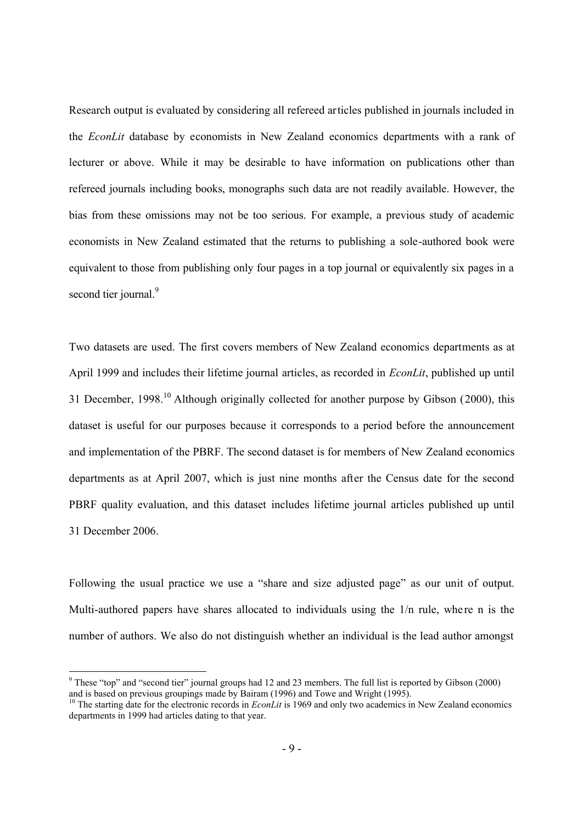Research output is evaluated by considering all refereed articles published in journals included in the *EconLit* database by economists in New Zealand economics departments with a rank of lecturer or above. While it may be desirable to have information on publications other than refereed journals including books, monographs such data are not readily available. However, the bias from these omissions may not be too serious. For example, a previous study of academic economists in New Zealand estimated that the returns to publishing a sole-authored book were equivalent to those from publishing only four pages in a top journal or equivalently six pages in a second tier journal.<sup>9</sup>

Two datasets are used. The first covers members of New Zealand economics departments as at April 1999 and includes their lifetime journal articles, as recorded in *EconLit*, published up until 31 December,  $1998<sup>10</sup>$  Although originally collected for another purpose by Gibson (2000), this dataset is useful for our purposes because it corresponds to a period before the announcement and implementation of the PBRF. The second dataset is for members of New Zealand economics departments as at April 2007, which is just nine months after the Census date for the second PBRF quality evaluation, and this dataset includes lifetime journal articles published up until 31 December 2006.

Following the usual practice we use a "share and size adjusted page" as our unit of output. Multi-authored papers have shares allocated to individuals using the  $1/n$  rule, where n is the number of authors. We also do not distinguish whether an individual is the lead author amongst

<sup>&</sup>lt;sup>9</sup> These "top" and "second tier" journal groups had 12 and 23 members. The full list is reported by Gibson (2000) and is based on previous groupings made by Bairam (1996) and Towe and Wright (1995).

<sup>&</sup>lt;sup>10</sup> The starting date for the electronic records in *EconLit* is 1969 and only two academics in New Zealand economics departments in 1999 had articles dating to that year.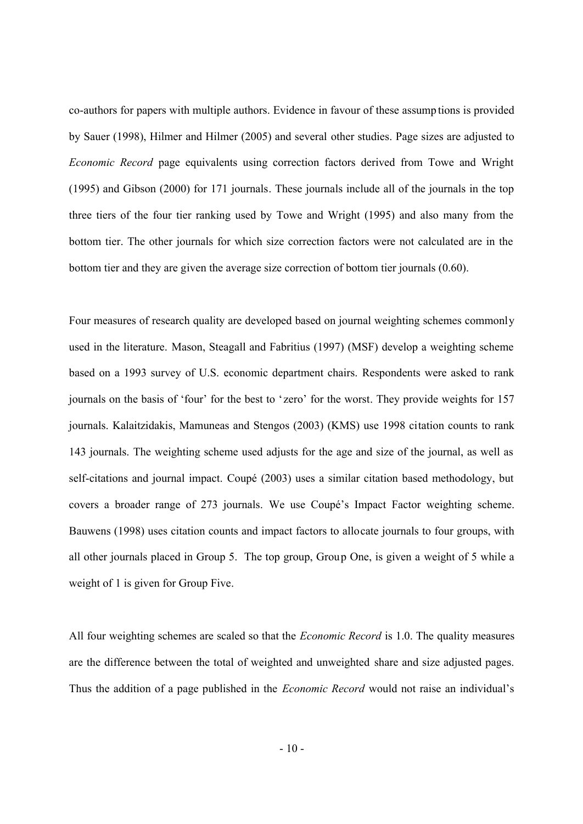co-authors for papers with multiple authors. Evidence in favour of these assump tions is provided by Sauer (1998), Hilmer and Hilmer (2005) and several other studies. Page sizes are adjusted to *Economic Record* page equivalents using correction factors derived from Towe and Wright (1995) and Gibson (2000) for 171 journals. These journals include all of the journals in the top three tiers of the four tier ranking used by Towe and Wright (1995) and also many from the bottom tier. The other journals for which size correction factors were not calculated are in the bottom tier and they are given the average size correction of bottom tier journals (0.60).

Four measures of research quality are developed based on journal weighting schemes commonly used in the literature. Mason, Steagall and Fabritius (1997) (MSF) develop a weighting scheme based on a 1993 survey of U.S. economic department chairs. Respondents were asked to rank journals on the basis of 'four' for the best to 'zero' for the worst. They provide weights for 157 journals. Kalaitzidakis, Mamuneas and Stengos (2003) (KMS) use 1998 citation counts to rank 143 journals. The weighting scheme used adjusts for the age and size of the journal, as well as self-citations and journal impact. Coupé (2003) uses a similar citation based methodology, but covers a broader range of 273 journals. We use Coupé's Impact Factor weighting scheme. Bauwens (1998) uses citation counts and impact factors to allocate journals to four groups, with all other journals placed in Group 5. The top group, Group One, is given a weight of 5 while a weight of 1 is given for Group Five.

All four weighting schemes are scaled so that the *Economic Record* is 1.0. The quality measures are the difference between the total of weighted and unweighted share and size adjusted pages. Thus the addition of a page published in the *Economic Record* would not raise an individual's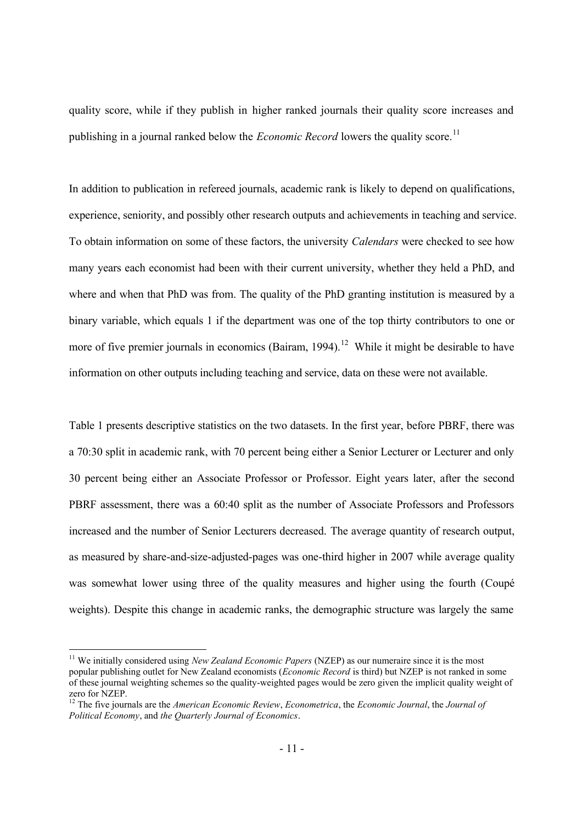quality score, while if they publish in higher ranked journals their quality score increases and publishing in a journal ranked below the *Economic Record* lowers the quality score.<sup>11</sup>

In addition to publication in refereed journals, academic rank is likely to depend on qualifications, experience, seniority, and possibly other research outputs and achievements in teaching and service. To obtain information on some of these factors, the university *Calendars* were checked to see how many years each economist had been with their current university, whether they held a PhD, and where and when that PhD was from. The quality of the PhD granting institution is measured by a binary variable, which equals 1 if the department was one of the top thirty contributors to one or more of five premier journals in economics (Bairam,  $1994$ ).<sup>12</sup> While it might be desirable to have information on other outputs including teaching and service, data on these were not available.

Table 1 presents descriptive statistics on the two datasets. In the first year, before PBRF, there was a 70:30 split in academic rank, with 70 percent being either a Senior Lecturer or Lecturer and only 30 percent being either an Associate Professor or Professor. Eight years later, after the second PBRF assessment, there was a 60:40 split as the number of Associate Professors and Professors increased and the number of Senior Lecturers decreased. The average quantity of research output, as measured by share-and-size-adjusted-pages was one-third higher in 2007 while average quality was somewhat lower using three of the quality measures and higher using the fourth (Coupé weights). Despite this change in academic ranks, the demographic structure was largely the same

<sup>&</sup>lt;sup>11</sup> We initially considered using *New Zealand Economic Papers* (NZEP) as our numeraire since it is the most popular publishing outlet for New Zealand economists (*Economic Record* is third) but NZEP is not ranked in some of these journal weighting schemes so the quality-weighted pages would be zero given the implicit quality weight of zero for NZEP.

<sup>12</sup> The five journals are the *American Economic Review*, *Econometrica*, the *Economic Journal*, the *Journal of Political Economy*, and *the Quarterly Journal of Economics*.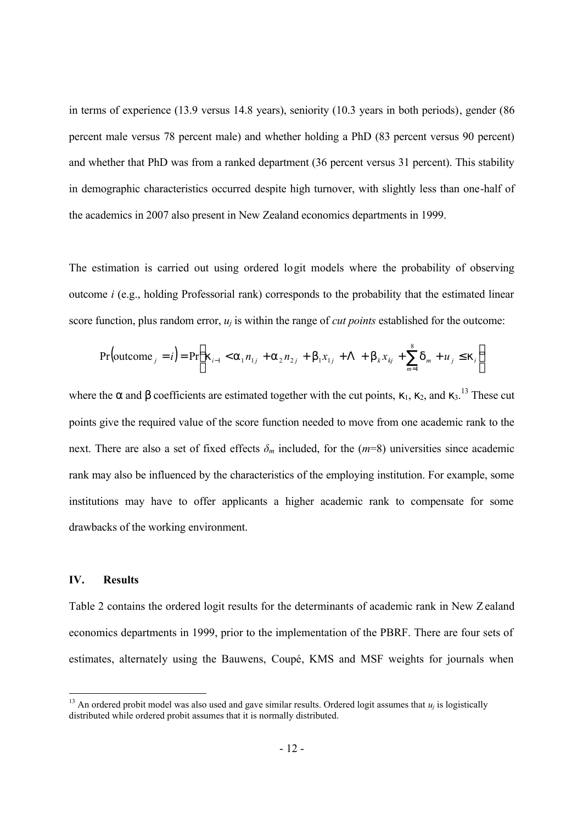in terms of experience (13.9 versus 14.8 years), seniority (10.3 years in both periods), gender (86 percent male versus 78 percent male) and whether holding a PhD (83 percent versus 90 percent) and whether that PhD was from a ranked department (36 percent versus 31 percent). This stability in demographic characteristics occurred despite high turnover, with slightly less than one-half of the academics in 2007 also present in New Zealand economics departments in 1999.

The estimation is carried out using ordered logit models where the probability of observing outcome *i* (e.g., holding Professorial rank) corresponds to the probability that the estimated linear score function, plus random error, *u<sup>j</sup>* is within the range of *cut points* established for the outcome:

$$
\Pr\left(\text{outcome}_j = i\right) = \Pr\left(k_{i-1} < a_1 n_{1j} + a_2 n_{2j} + b_1 x_{1j} + \Lambda + b_k x_{kj} + \sum_{m=1}^8 d_m + u_j \le k_i\right)
$$

where the *a* and *b* coefficients are estimated together with the cut points,  $k_1$ ,  $k_2$ , and  $k_3$ .<sup>13</sup> These cut points give the required value of the score function needed to move from one academic rank to the next. There are also a set of fixed effects  $\delta_m$  included, for the  $(m=8)$  universities since academic rank may also be influenced by the characteristics of the employing institution. For example, some institutions may have to offer applicants a higher academic rank to compensate for some drawbacks of the working environment.

## **IV. Results**

Table 2 contains the ordered logit results for the determinants of academic rank in New Zealand economics departments in 1999, prior to the implementation of the PBRF. There are four sets of estimates, alternately using the Bauwens, Coupé, KMS and MSF weights for journals when

<sup>&</sup>lt;sup>13</sup> An ordered probit model was also used and gave similar results. Ordered logit assumes that  $u_j$  is logistically distributed while ordered probit assumes that it is normally distributed.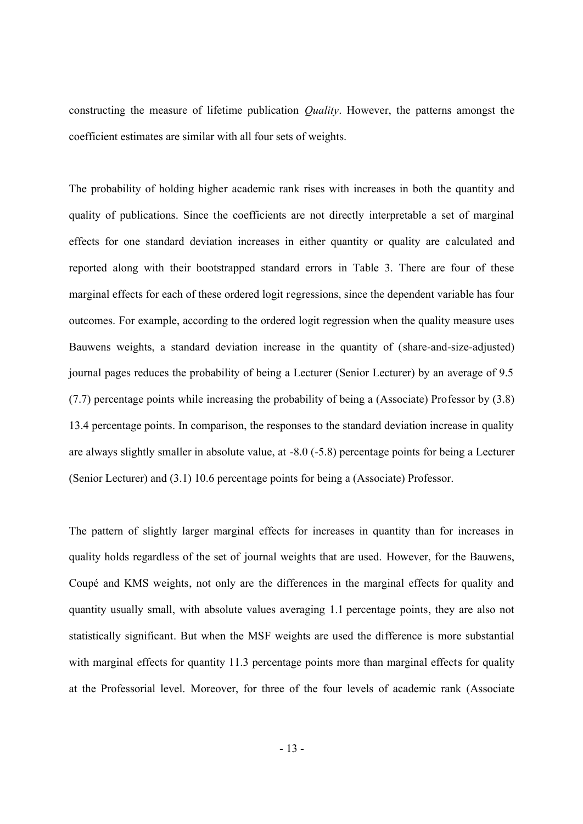constructing the measure of lifetime publication *Quality*. However, the patterns amongst the coefficient estimates are similar with all four sets of weights.

The probability of holding higher academic rank rises with increases in both the quantity and quality of publications. Since the coefficients are not directly interpretable a set of marginal effects for one standard deviation increases in either quantity or quality are calculated and reported along with their bootstrapped standard errors in Table 3. There are four of these marginal effects for each of these ordered logit regressions, since the dependent variable has four outcomes. For example, according to the ordered logit regression when the quality measure uses Bauwens weights, a standard deviation increase in the quantity of (share-and-size-adjusted) journal pages reduces the probability of being a Lecturer (Senior Lecturer) by an average of 9.5 (7.7) percentage points while increasing the probability of being a (Associate) Professor by (3.8) 13.4 percentage points. In comparison, the responses to the standard deviation increase in quality are always slightly smaller in absolute value, at -8.0 (-5.8) percentage points for being a Lecturer (Senior Lecturer) and (3.1) 10.6 percentage points for being a (Associate) Professor.

The pattern of slightly larger marginal effects for increases in quantity than for increases in quality holds regardless of the set of journal weights that are used. However, for the Bauwens, Coupé and KMS weights, not only are the differences in the marginal effects for quality and quantity usually small, with absolute values averaging 1.1 percentage points, they are also not statistically significant. But when the MSF weights are used the difference is more substantial with marginal effects for quantity 11.3 percentage points more than marginal effects for quality at the Professorial level. Moreover, for three of the four levels of academic rank (Associate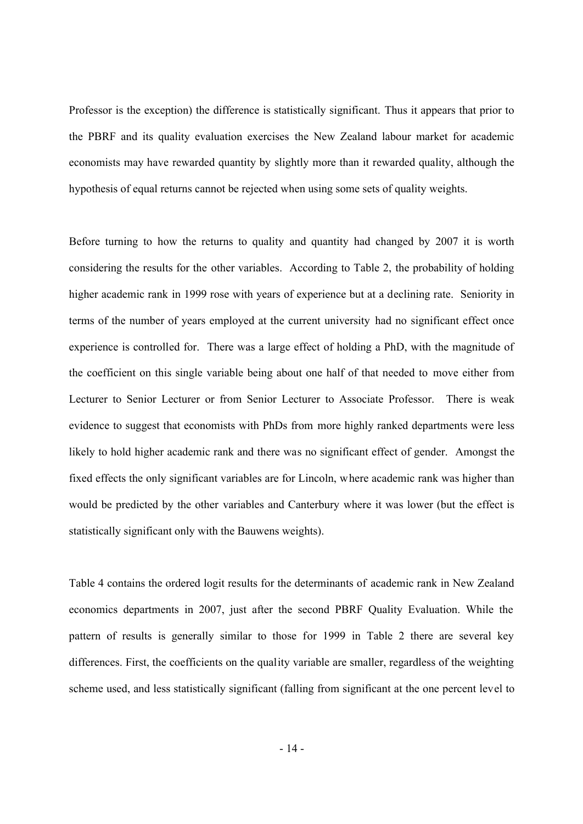Professor is the exception) the difference is statistically significant. Thus it appears that prior to the PBRF and its quality evaluation exercises the New Zealand labour market for academic economists may have rewarded quantity by slightly more than it rewarded quality, although the hypothesis of equal returns cannot be rejected when using some sets of quality weights.

Before turning to how the returns to quality and quantity had changed by 2007 it is worth considering the results for the other variables. According to Table 2, the probability of holding higher academic rank in 1999 rose with years of experience but at a declining rate. Seniority in terms of the number of years employed at the current university had no significant effect once experience is controlled for. There was a large effect of holding a PhD, with the magnitude of the coefficient on this single variable being about one half of that needed to move either from Lecturer to Senior Lecturer or from Senior Lecturer to Associate Professor. There is weak evidence to suggest that economists with PhDs from more highly ranked departments were less likely to hold higher academic rank and there was no significant effect of gender. Amongst the fixed effects the only significant variables are for Lincoln, where academic rank was higher than would be predicted by the other variables and Canterbury where it was lower (but the effect is statistically significant only with the Bauwens weights).

Table 4 contains the ordered logit results for the determinants of academic rank in New Zealand economics departments in 2007, just after the second PBRF Quality Evaluation. While the pattern of results is generally similar to those for 1999 in Table 2 there are several key differences. First, the coefficients on the quality variable are smaller, regardless of the weighting scheme used, and less statistically significant (falling from significant at the one percent level to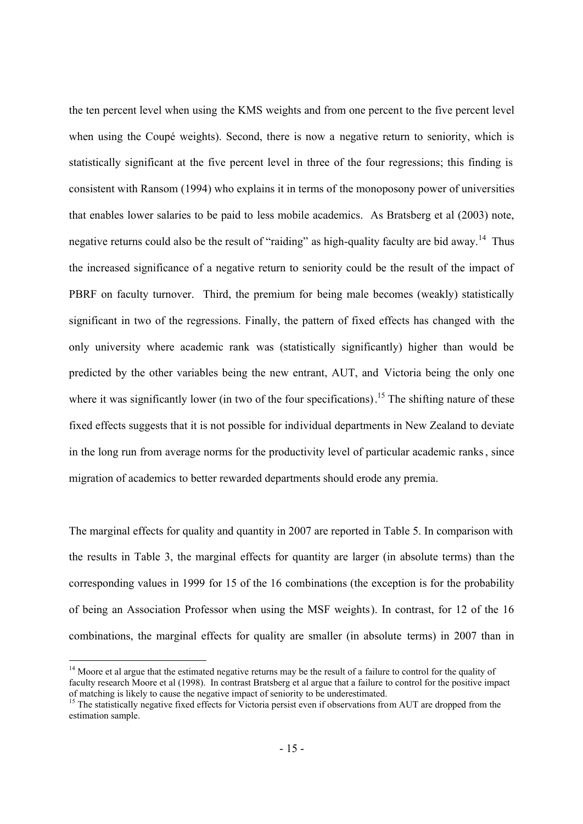the ten percent level when using the KMS weights and from one percent to the five percent level when using the Coupé weights). Second, there is now a negative return to seniority, which is statistically significant at the five percent level in three of the four regressions; this finding is consistent with Ransom (1994) who explains it in terms of the monoposony power of universities that enables lower salaries to be paid to less mobile academics. As Bratsberg et al (2003) note, negative returns could also be the result of "raiding" as high-quality faculty are bid away.<sup>14</sup> Thus the increased significance of a negative return to seniority could be the result of the impact of PBRF on faculty turnover. Third, the premium for being male becomes (weakly) statistically significant in two of the regressions. Finally, the pattern of fixed effects has changed with the only university where academic rank was (statistically significantly) higher than would be predicted by the other variables being the new entrant, AUT, and Victoria being the only one where it was significantly lower (in two of the four specifications).<sup>15</sup> The shifting nature of these fixed effects suggests that it is not possible for individual departments in New Zealand to deviate in the long run from average norms for the productivity level of particular academic ranks, since migration of academics to better rewarded departments should erode any premia.

The marginal effects for quality and quantity in 2007 are reported in Table 5. In comparison with the results in Table 3, the marginal effects for quantity are larger (in absolute terms) than the corresponding values in 1999 for 15 of the 16 combinations (the exception is for the probability of being an Association Professor when using the MSF weights). In contrast, for 12 of the 16 combinations, the marginal effects for quality are smaller (in absolute terms) in 2007 than in

 $\overline{a}$ 

<sup>&</sup>lt;sup>14</sup> Moore et al argue that the estimated negative returns may be the result of a failure to control for the quality of faculty research Moore et al (1998). In contrast Bratsberg et al argue that a failure to control for the positive impact of matching is likely to cause the negative impact of seniority to be underestimated.

<sup>&</sup>lt;sup>15</sup> The statistically negative fixed effects for Victoria persist even if observations from AUT are dropped from the estimation sample.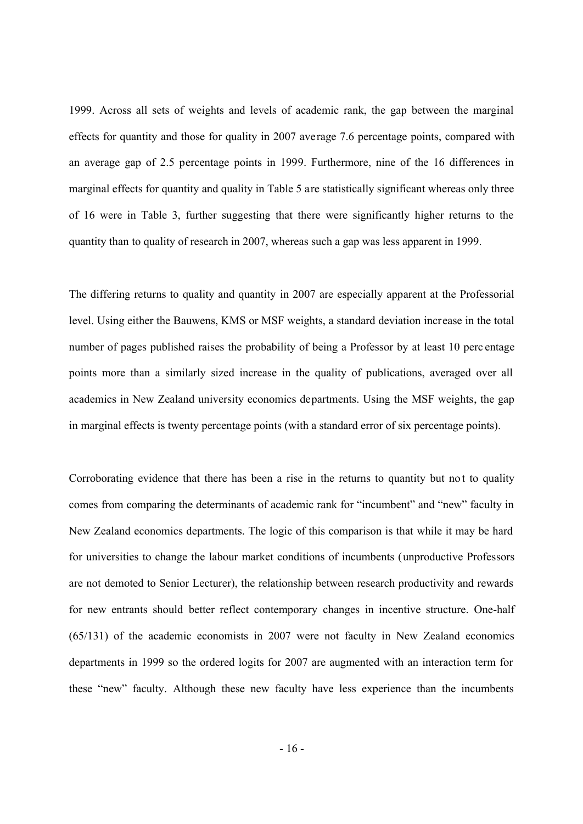1999. Across all sets of weights and levels of academic rank, the gap between the marginal effects for quantity and those for quality in 2007 average 7.6 percentage points, compared with an average gap of 2.5 percentage points in 1999. Furthermore, nine of the 16 differences in marginal effects for quantity and quality in Table 5 are statistically significant whereas only three of 16 were in Table 3, further suggesting that there were significantly higher returns to the quantity than to quality of research in 2007, whereas such a gap was less apparent in 1999.

The differing returns to quality and quantity in 2007 are especially apparent at the Professorial level. Using either the Bauwens, KMS or MSF weights, a standard deviation increase in the total number of pages published raises the probability of being a Professor by at least 10 perc entage points more than a similarly sized increase in the quality of publications, averaged over all academics in New Zealand university economics departments. Using the MSF weights, the gap in marginal effects is twenty percentage points (with a standard error of six percentage points).

Corroborating evidence that there has been a rise in the returns to quantity but not to quality comes from comparing the determinants of academic rank for "incumbent" and "new" faculty in New Zealand economics departments. The logic of this comparison is that while it may be hard for universities to change the labour market conditions of incumbents (unproductive Professors are not demoted to Senior Lecturer), the relationship between research productivity and rewards for new entrants should better reflect contemporary changes in incentive structure. One-half (65/131) of the academic economists in 2007 were not faculty in New Zealand economics departments in 1999 so the ordered logits for 2007 are augmented with an interaction term for these "new" faculty. Although these new faculty have less experience than the incumbents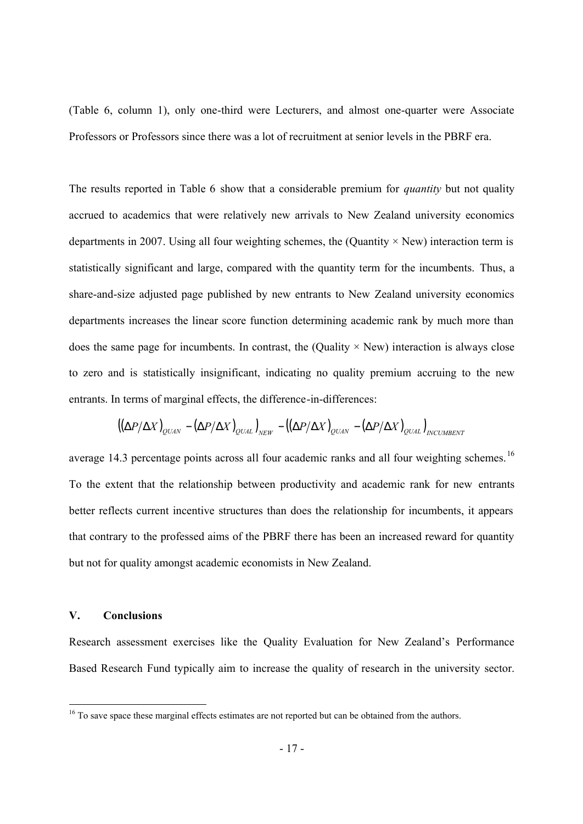(Table 6, column 1), only one-third were Lecturers, and almost one-quarter were Associate Professors or Professors since there was a lot of recruitment at senior levels in the PBRF era.

The results reported in Table 6 show that a considerable premium for *quantity* but not quality accrued to academics that were relatively new arrivals to New Zealand university economics departments in 2007. Using all four weighting schemes, the (Quantity  $\times$  New) interaction term is statistically significant and large, compared with the quantity term for the incumbents. Thus, a share-and-size adjusted page published by new entrants to New Zealand university economics departments increases the linear score function determining academic rank by much more than does the same page for incumbents. In contrast, the (Quality  $\times$  New) interaction is always close to zero and is statistically insignificant, indicating no quality premium accruing to the new entrants. In terms of marginal effects, the difference-in-differences:

$$
\left(\left(\Delta P/\Delta X\right)_{QUAN}-\left(\Delta P/\Delta X\right)_{QUAL}\right)_{NEW}-\left(\left(\Delta P/\Delta X\right)_{QUAN}-\left(\Delta P/\Delta X\right)_{QUAL}\right)_{INCUMBENT}
$$

average 14.3 percentage points across all four academic ranks and all four weighting schemes.<sup>16</sup> To the extent that the relationship between productivity and academic rank for new entrants better reflects current incentive structures than does the relationship for incumbents, it appears that contrary to the professed aims of the PBRF there has been an increased reward for quantity but not for quality amongst academic economists in New Zealand.

### **V. Conclusions**

Research assessment exercises like the Quality Evaluation for New Zealand's Performance Based Research Fund typically aim to increase the quality of research in the university sector.

<sup>&</sup>lt;sup>16</sup> To save space these marginal effects estimates are not reported but can be obtained from the authors.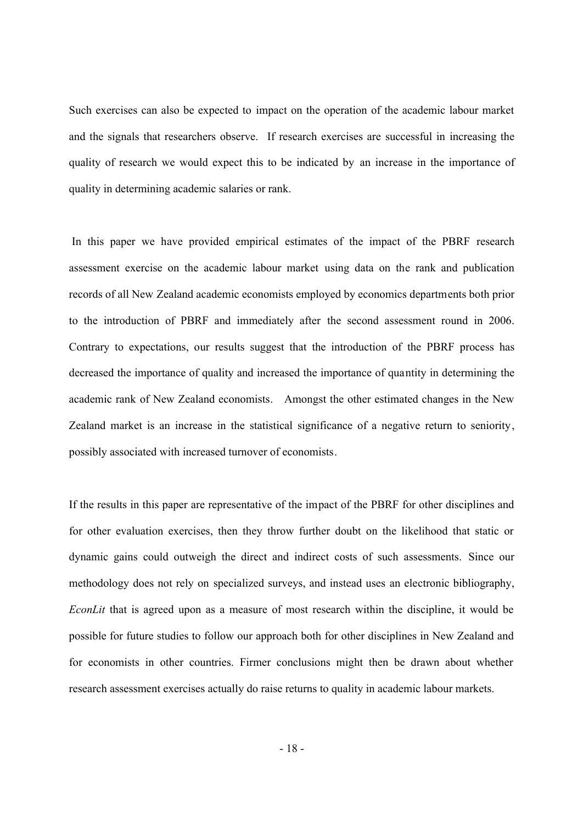Such exercises can also be expected to impact on the operation of the academic labour market and the signals that researchers observe. If research exercises are successful in increasing the quality of research we would expect this to be indicated by an increase in the importance of quality in determining academic salaries or rank.

In this paper we have provided empirical estimates of the impact of the PBRF research assessment exercise on the academic labour market using data on the rank and publication records of all New Zealand academic economists employed by economics departments both prior to the introduction of PBRF and immediately after the second assessment round in 2006. Contrary to expectations, our results suggest that the introduction of the PBRF process has decreased the importance of quality and increased the importance of quantity in determining the academic rank of New Zealand economists. Amongst the other estimated changes in the New Zealand market is an increase in the statistical significance of a negative return to seniority, possibly associated with increased turnover of economists.

If the results in this paper are representative of the impact of the PBRF for other disciplines and for other evaluation exercises, then they throw further doubt on the likelihood that static or dynamic gains could outweigh the direct and indirect costs of such assessments. Since our methodology does not rely on specialized surveys, and instead uses an electronic bibliography, *EconLit* that is agreed upon as a measure of most research within the discipline, it would be possible for future studies to follow our approach both for other disciplines in New Zealand and for economists in other countries. Firmer conclusions might then be drawn about whether research assessment exercises actually do raise returns to quality in academic labour markets.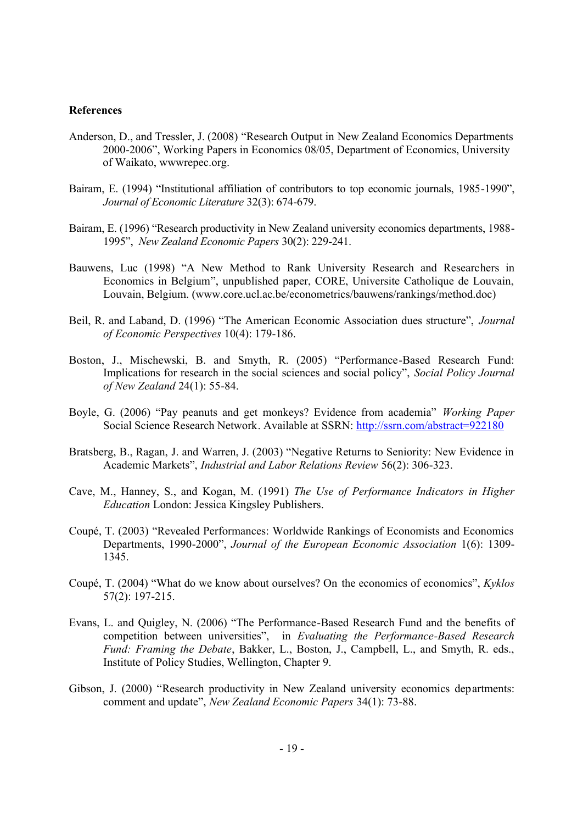# **References**

- Anderson, D., and Tressler, J. (2008) "Research Output in New Zealand Economics Departments 2000-2006", Working Papers in Economics 08/05, Department of Economics, University of Waikato, wwwrepec.org.
- Bairam, E. (1994) "Institutional affiliation of contributors to top economic journals, 1985-1990", *Journal of Economic Literature* 32(3): 674-679.
- Bairam, E. (1996) "Research productivity in New Zealand university economics departments, 1988- 1995", *New Zealand Economic Papers* 30(2): 229-241.
- Bauwens, Luc (1998) "A New Method to Rank University Research and Researchers in Economics in Belgium", unpublished paper, CORE, Universite Catholique de Louvain, Louvain, Belgium. (www.core.ucl.ac.be/econometrics/bauwens/rankings/method.doc)
- Beil, R. and Laband, D. (1996) "The American Economic Association dues structure", *Journal of Economic Perspectives* 10(4): 179-186.
- Boston, J., Mischewski, B. and Smyth, R. (2005) "Performance-Based Research Fund: Implications for research in the social sciences and social policy", *Social Policy Journal of New Zealand* 24(1): 55-84.
- Boyle, G. (2006) "Pay peanuts and get monkeys? Evidence from academia" *Working Paper* Social Science Research Network. Available at SSRN: http://ssrn.com/abstract=922180
- Bratsberg, B., Ragan, J. and Warren, J. (2003) "Negative Returns to Seniority: New Evidence in Academic Markets", *Industrial and Labor Relations Review* 56(2): 306-323.
- Cave, M., Hanney, S., and Kogan, M. (1991) *The Use of Performance Indicators in Higher Education* London: Jessica Kingsley Publishers.
- Coupé, T. (2003) "Revealed Performances: Worldwide Rankings of Economists and Economics Departments, 1990-2000", *Journal of the European Economic Association* 1(6): 1309- 1345.
- Coupé, T. (2004) "What do we know about ourselves? On the economics of economics", *Kyklos* 57(2): 197-215.
- Evans, L. and Quigley, N. (2006) "The Performance-Based Research Fund and the benefits of competition between universities", in *Evaluating the Performance-Based Research Fund: Framing the Debate*, Bakker, L., Boston, J., Campbell, L., and Smyth, R. eds., Institute of Policy Studies, Wellington, Chapter 9.
- Gibson, J. (2000) "Research productivity in New Zealand university economics departments: comment and update", *New Zealand Economic Papers* 34(1): 73-88.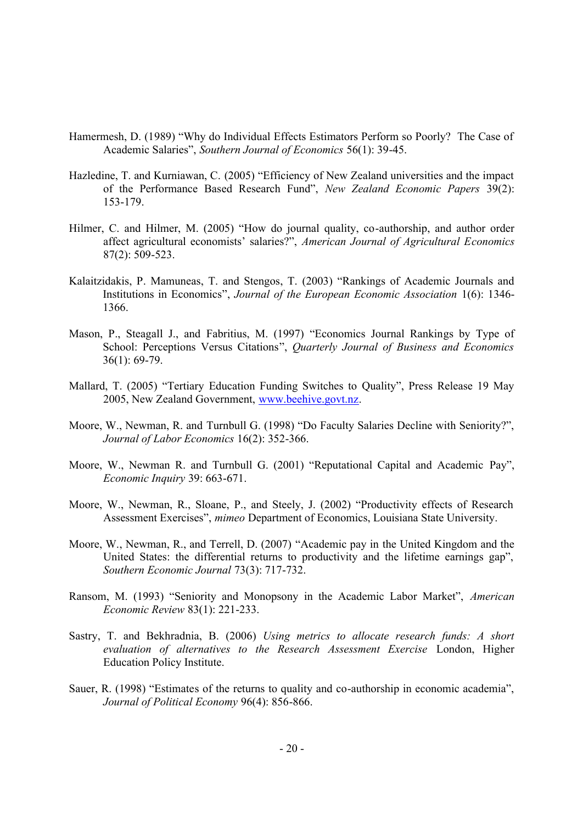- Hamermesh, D. (1989) "Why do Individual Effects Estimators Perform so Poorly? The Case of Academic Salaries", *Southern Journal of Economics* 56(1): 39-45.
- Hazledine, T. and Kurniawan, C. (2005) "Efficiency of New Zealand universities and the impact of the Performance Based Research Fund", *New Zealand Economic Papers* 39(2): 153-179.
- Hilmer, C. and Hilmer, M. (2005) "How do journal quality, co-authorship, and author order affect agricultural economists' salaries?", *American Journal of Agricultural Economics* 87(2): 509-523.
- Kalaitzidakis, P. Mamuneas, T. and Stengos, T. (2003) "Rankings of Academic Journals and Institutions in Economics", *Journal of the European Economic Association* 1(6): 1346- 1366.
- Mason, P., Steagall J., and Fabritius, M. (1997) "Economics Journal Rankings by Type of School: Perceptions Versus Citations", *Quarterly Journal of Business and Economics* 36(1): 69-79.
- Mallard, T. (2005) "Tertiary Education Funding Switches to Quality", Press Release 19 May 2005, New Zealand Government, www.beehive.govt.nz.
- Moore, W., Newman, R. and Turnbull G. (1998) "Do Faculty Salaries Decline with Seniority?", *Journal of Labor Economics* 16(2): 352-366.
- Moore, W., Newman R. and Turnbull G. (2001) "Reputational Capital and Academic Pay", *Economic Inquiry* 39: 663-671.
- Moore, W., Newman, R., Sloane, P., and Steely, J. (2002) "Productivity effects of Research Assessment Exercises", *mimeo* Department of Economics, Louisiana State University.
- Moore, W., Newman, R., and Terrell, D. (2007) "Academic pay in the United Kingdom and the United States: the differential returns to productivity and the lifetime earnings gap", *Southern Economic Journal* 73(3): 717-732.
- Ransom, M. (1993) "Seniority and Monopsony in the Academic Labor Market", *American Economic Review* 83(1): 221-233.
- Sastry, T. and Bekhradnia, B. (2006) *Using metrics to allocate research funds: A short evaluation of alternatives to the Research Assessment Exercise* London, Higher Education Policy Institute.
- Sauer, R. (1998) "Estimates of the returns to quality and co-authorship in economic academia", *Journal of Political Economy* 96(4): 856-866.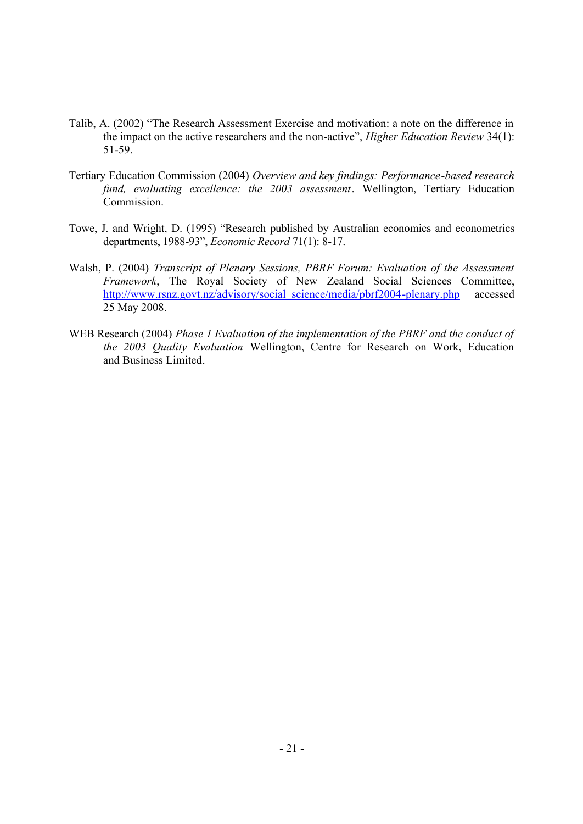- Talib, A. (2002) "The Research Assessment Exercise and motivation: a note on the difference in the impact on the active researchers and the non-active", *Higher Education Review* 34(1): 51-59.
- Tertiary Education Commission (2004) *Overview and key findings: Performance-based research fund, evaluating excellence: the 2003 assessment*. Wellington, Tertiary Education Commission.
- Towe, J. and Wright, D. (1995) "Research published by Australian economics and econometrics departments, 1988-93", *Economic Record* 71(1): 8-17.
- Walsh, P. (2004) *Transcript of Plenary Sessions, PBRF Forum: Evaluation of the Assessment Framework*, The Royal Society of New Zealand Social Sciences Committee, http://www.rsnz.govt.nz/advisory/social\_science/media/pbrf2004-plenary.php accessed 25 May 2008.
- WEB Research (2004) *Phase 1 Evaluation of the implementation of the PBRF and the conduct of the 2003 Quality Evaluation* Wellington, Centre for Research on Work, Education and Business Limited.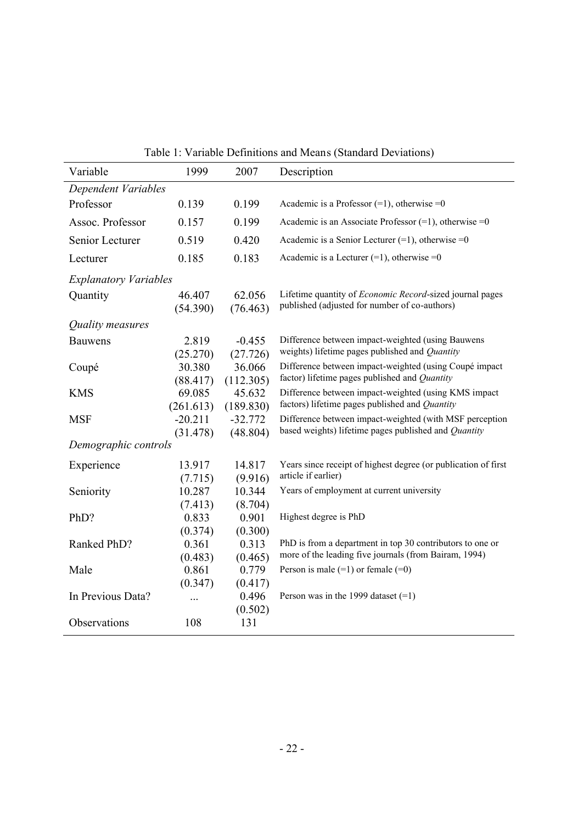| Table 1: Variable Definitions and Means (Standard Deviations) |  |
|---------------------------------------------------------------|--|
|---------------------------------------------------------------|--|

| Variable                     | 1999                  | 2007                  | Description                                                                                                        |
|------------------------------|-----------------------|-----------------------|--------------------------------------------------------------------------------------------------------------------|
| Dependent Variables          |                       |                       |                                                                                                                    |
| Professor                    | 0.139                 | 0.199                 | Academic is a Professor $(=1)$ , otherwise = 0                                                                     |
| Assoc. Professor             | 0.157                 | 0.199                 | Academic is an Associate Professor $(=1)$ , otherwise = 0                                                          |
| Senior Lecturer              | 0.519                 | 0.420                 | Academic is a Senior Lecturer $(=1)$ , otherwise $=0$                                                              |
| Lecturer                     | 0.185                 | 0.183                 | Academic is a Lecturer $(=1)$ , otherwise = 0                                                                      |
| <b>Explanatory Variables</b> |                       |                       |                                                                                                                    |
| Quantity                     | 46.407<br>(54.390)    | 62.056<br>(76.463)    | Lifetime quantity of <i>Economic Record-sized</i> journal pages<br>published (adjusted for number of co-authors)   |
| Quality measures             |                       |                       |                                                                                                                    |
| <b>Bauwens</b>               | 2.819<br>(25.270)     | $-0.455$<br>(27.726)  | Difference between impact-weighted (using Bauwens<br>weights) lifetime pages published and Quantity                |
| Coupé                        | 30.380<br>(88.417)    | 36.066<br>(112.305)   | Difference between impact-weighted (using Coupé impact<br>factor) lifetime pages published and Quantity            |
| <b>KMS</b>                   | 69.085<br>(261.613)   | 45.632<br>(189.830)   | Difference between impact-weighted (using KMS impact<br>factors) lifetime pages published and Quantity             |
| <b>MSF</b>                   | $-20.211$<br>(31.478) | $-32.772$<br>(48.804) | Difference between impact-weighted (with MSF perception<br>based weights) lifetime pages published and Quantity    |
| Demographic controls         |                       |                       |                                                                                                                    |
| Experience                   | 13.917<br>(7.715)     | 14.817<br>(9.916)     | Years since receipt of highest degree (or publication of first<br>article if earlier)                              |
| Seniority                    | 10.287                | 10.344                | Years of employment at current university                                                                          |
|                              | (7.413)               | (8.704)               |                                                                                                                    |
| PhD?                         | 0.833<br>(0.374)      | 0.901<br>(0.300)      | Highest degree is PhD                                                                                              |
| Ranked PhD?                  | 0.361<br>(0.483)      | 0.313<br>(0.465)      | PhD is from a department in top 30 contributors to one or<br>more of the leading five journals (from Bairam, 1994) |
| Male                         | 0.861                 | 0.779                 | Person is male $(=1)$ or female $(=0)$                                                                             |
|                              | (0.347)               | (0.417)               |                                                                                                                    |
| In Previous Data?            | $\ddotsc$             | 0.496                 | Person was in the 1999 dataset $(=1)$                                                                              |
| Observations                 | 108                   | (0.502)<br>131        |                                                                                                                    |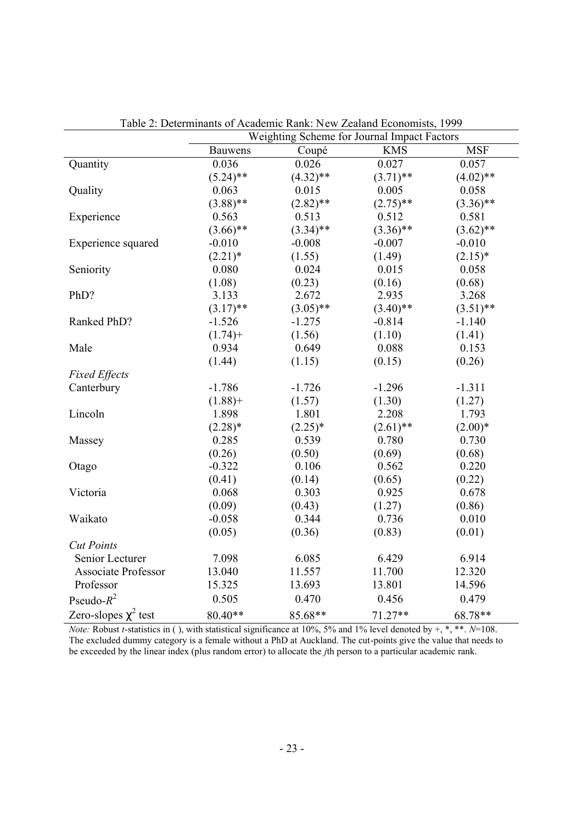|                            |                |             | Weighting Scheme for Journal Impact Factors |             |
|----------------------------|----------------|-------------|---------------------------------------------|-------------|
|                            | <b>Bauwens</b> | Coupé       | <b>KMS</b>                                  | <b>MSF</b>  |
| Quantity                   | 0.036          | 0.026       | 0.027                                       | 0.057       |
|                            | $(5.24)$ **    | $(4.32)$ ** | $(3.71)$ **                                 | $(4.02)$ ** |
| Quality                    | 0.063          | 0.015       | 0.005                                       | 0.058       |
|                            | $(3.88)$ **    | $(2.82)$ ** | $(2.75)$ **                                 | $(3.36)$ ** |
| Experience                 | 0.563          | 0.513       | 0.512                                       | 0.581       |
|                            | $(3.66)$ **    | $(3.34)$ ** | $(3.36)$ **                                 | $(3.62)$ ** |
| Experience squared         | $-0.010$       | $-0.008$    | $-0.007$                                    | $-0.010$    |
|                            | $(2.21)$ *     | (1.55)      | (1.49)                                      | $(2.15)^*$  |
| Seniority                  | 0.080          | 0.024       | 0.015                                       | 0.058       |
|                            | (1.08)         | (0.23)      | (0.16)                                      | (0.68)      |
| PhD?                       | 3.133          | 2.672       | 2.935                                       | 3.268       |
|                            | $(3.17)$ **    | $(3.05)$ ** | $(3.40)$ **                                 | $(3.51)$ ** |
| Ranked PhD?                | $-1.526$       | $-1.275$    | $-0.814$                                    | $-1.140$    |
|                            | $(1.74) +$     | (1.56)      | (1.10)                                      | (1.41)      |
| Male                       | 0.934          | 0.649       | 0.088                                       | 0.153       |
|                            | (1.44)         | (1.15)      | (0.15)                                      | (0.26)      |
| <b>Fixed Effects</b>       |                |             |                                             |             |
| Canterbury                 | $-1.786$       | $-1.726$    | $-1.296$                                    | $-1.311$    |
|                            | $(1.88) +$     | (1.57)      | (1.30)                                      | (1.27)      |
| Lincoln                    | 1.898          | 1.801       | 2.208                                       | 1.793       |
|                            | $(2.28)$ *     | $(2.25)^*$  | $(2.61)$ **                                 | $(2.00)*$   |
| Massey                     | 0.285          | 0.539       | 0.780                                       | 0.730       |
|                            | (0.26)         | (0.50)      | (0.69)                                      | (0.68)      |
| Otago                      | $-0.322$       | 0.106       | 0.562                                       | 0.220       |
|                            | (0.41)         | (0.14)      | (0.65)                                      | (0.22)      |
| Victoria                   | 0.068          | 0.303       | 0.925                                       | 0.678       |
|                            | (0.09)         | (0.43)      | (1.27)                                      | (0.86)      |
| Waikato                    | $-0.058$       | 0.344       | 0.736                                       | 0.010       |
|                            | (0.05)         | (0.36)      | (0.83)                                      | (0.01)      |
| <b>Cut Points</b>          |                |             |                                             |             |
| Senior Lecturer            | 7.098          | 6.085       | 6.429                                       | 6.914       |
| <b>Associate Professor</b> | 13.040         | 11.557      | 11.700                                      | 12.320      |
| Professor                  | 15.325         | 13.693      | 13.801                                      | 14.596      |
| Pseudo- $R^2$              | 0.505          | 0.470       | 0.456                                       | 0.479       |
| Zero-slopes $\chi^2$ test  | 80.40**        | 85.68**     | $71.27**$                                   | 68.78**     |

Table 2: Determinants of Academic Rank: New Zealand Economists, 1999

*Note:* Robust *t*-statistics in ( ), with statistical significance at 10%, 5% and 1% level denoted by +, \*, \*\*. *N*=108. The excluded dummy category is a female without a PhD at Auckland. The cut-points give the value that needs to be exceeded by the linear index (plus random error) to allocate the *j*th person to a particular academic rank.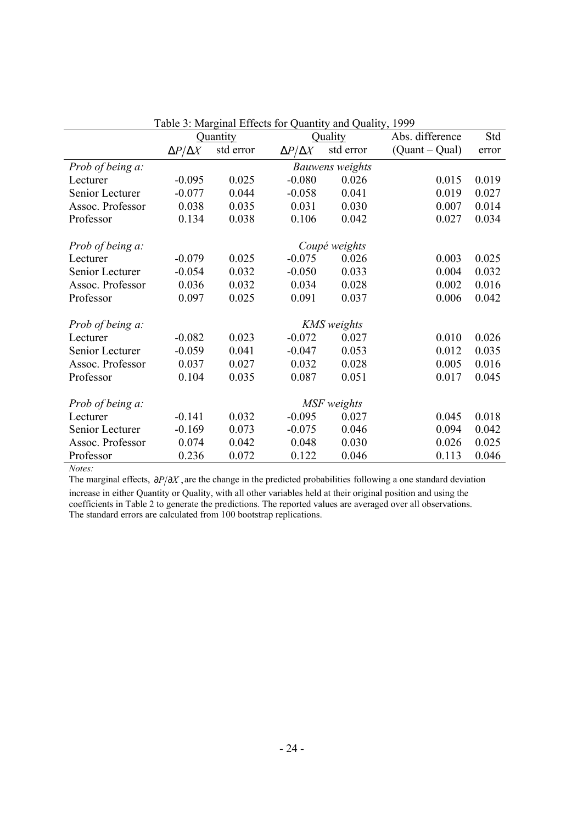|                  |                     |                    | Table 5. Marginal Effects for Quantity and Quanty, 1999 |                 |                  |       |
|------------------|---------------------|--------------------|---------------------------------------------------------|-----------------|------------------|-------|
|                  |                     | Quantity           |                                                         | Quality         | Abs. difference  | Std   |
|                  | $\Delta P/\Delta X$ | std error          | $\Delta P/\Delta X$                                     | std error       | $(Quant - Qual)$ | error |
| Prob of being a: |                     |                    |                                                         | Bauwens weights |                  |       |
| Lecturer         | $-0.095$            | 0.025              | $-0.080$                                                | 0.026           | 0.015            | 0.019 |
| Senior Lecturer  | $-0.077$            | 0.044              | $-0.058$                                                | 0.041           | 0.019            | 0.027 |
| Assoc. Professor | 0.038               | 0.035              | 0.031                                                   | 0.030           | 0.007            | 0.014 |
| Professor        | 0.134               | 0.038              | 0.106                                                   | 0.042           | 0.027            | 0.034 |
|                  |                     |                    |                                                         |                 |                  |       |
| Prob of being a: |                     |                    |                                                         | Coupé weights   |                  |       |
| Lecturer         | $-0.079$            | 0.025              | $-0.075$                                                | 0.026           | 0.003            | 0.025 |
| Senior Lecturer  | $-0.054$            | 0.032              | $-0.050$                                                | 0.033           | 0.004            | 0.032 |
| Assoc. Professor | 0.036               | 0.032              | 0.034                                                   | 0.028           | 0.002            | 0.016 |
| Professor        | 0.097               | 0.025              | 0.091                                                   | 0.037           | 0.006            | 0.042 |
| Prob of being a: |                     | <b>KMS</b> weights |                                                         |                 |                  |       |
| Lecturer         | $-0.082$            | 0.023              | $-0.072$                                                | 0.027           | 0.010            | 0.026 |
| Senior Lecturer  | $-0.059$            | 0.041              | $-0.047$                                                | 0.053           | 0.012            | 0.035 |
| Assoc. Professor | 0.037               | 0.027              | 0.032                                                   | 0.028           | 0.005            | 0.016 |
| Professor        | 0.104               | 0.035              | 0.087                                                   | 0.051           | 0.017            | 0.045 |
|                  |                     |                    |                                                         |                 |                  |       |
| Prob of being a: |                     |                    |                                                         | MSF weights     |                  |       |
| Lecturer         | $-0.141$            | 0.032              | $-0.095$                                                | 0.027           | 0.045            | 0.018 |
| Senior Lecturer  | $-0.169$            | 0.073              | $-0.075$                                                | 0.046           | 0.094            | 0.042 |
| Assoc. Professor | 0.074               | 0.042              | 0.048                                                   | 0.030           | 0.026            | 0.025 |
| Professor        | 0.236               | 0.072              | 0.122                                                   | 0.046           | 0.113            | 0.046 |

| Table 3: Marginal Effects for Quantity and Quality, 1999 |  |  |  |
|----------------------------------------------------------|--|--|--|
|                                                          |  |  |  |

*Notes:*

The marginal effects,  $∂P/∂X$ , are the change in the predicted probabilities following a one standard deviation increase in either Quantity or Quality, with all other variables held at their original position and using the coefficients in Table 2 to generate the predictions. The reported values are averaged over all observations. The standard errors are calculated from 100 bootstrap replications.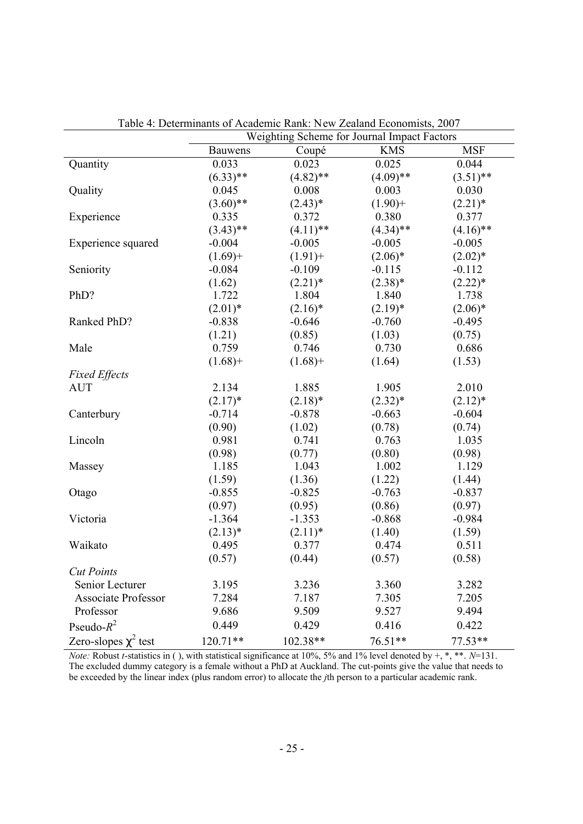|                            | Weighting Scheme for Journal Impact Factors |             |             |             |
|----------------------------|---------------------------------------------|-------------|-------------|-------------|
|                            | <b>Bauwens</b>                              | Coupé       | <b>KMS</b>  | <b>MSF</b>  |
| Quantity                   | 0.033                                       | 0.023       | 0.025       | 0.044       |
|                            | $(6.33)$ **                                 | $(4.82)$ ** | $(4.09)$ ** | $(3.51)$ ** |
| Quality                    | 0.045                                       | 0.008       | 0.003       | 0.030       |
|                            | $(3.60)$ **                                 | $(2.43)*$   | $(1.90) +$  | $(2.21)^*$  |
| Experience                 | 0.335                                       | 0.372       | 0.380       | 0.377       |
|                            | $(3.43)$ **                                 | $(4.11)$ ** | $(4.34)$ ** | $(4.16)$ ** |
| Experience squared         | $-0.004$                                    | $-0.005$    | $-0.005$    | $-0.005$    |
|                            | $(1.69) +$                                  | $(1.91) +$  | $(2.06)^*$  | $(2.02)^*$  |
| Seniority                  | $-0.084$                                    | $-0.109$    | $-0.115$    | $-0.112$    |
|                            | (1.62)                                      | $(2.21)^*$  | $(2.38)*$   | $(2.22)^*$  |
| PhD?                       | 1.722                                       | 1.804       | 1.840       | 1.738       |
|                            | $(2.01)*$                                   | $(2.16)^*$  | $(2.19)*$   | $(2.06)*$   |
| Ranked PhD?                | $-0.838$                                    | $-0.646$    | $-0.760$    | $-0.495$    |
|                            | (1.21)                                      | (0.85)      | (1.03)      | (0.75)      |
| Male                       | 0.759                                       | 0.746       | 0.730       | 0.686       |
|                            | $(1.68) +$                                  | $(1.68) +$  | (1.64)      | (1.53)      |
| <b>Fixed Effects</b>       |                                             |             |             |             |
| <b>AUT</b>                 | 2.134                                       | 1.885       | 1.905       | 2.010       |
|                            | $(2.17)^*$                                  | $(2.18)*$   | $(2.32)^*$  | $(2.12)^*$  |
| Canterbury                 | $-0.714$                                    | $-0.878$    | $-0.663$    | $-0.604$    |
|                            | (0.90)                                      | (1.02)      | (0.78)      | (0.74)      |
| Lincoln                    | 0.981                                       | 0.741       | 0.763       | 1.035       |
|                            | (0.98)                                      | (0.77)      | (0.80)      | (0.98)      |
| Massey                     | 1.185                                       | 1.043       | 1.002       | 1.129       |
|                            | (1.59)                                      | (1.36)      | (1.22)      | (1.44)      |
| Otago                      | $-0.855$                                    | $-0.825$    | $-0.763$    | $-0.837$    |
|                            | (0.97)                                      | (0.95)      | (0.86)      | (0.97)      |
| Victoria                   | $-1.364$                                    | $-1.353$    | $-0.868$    | $-0.984$    |
|                            | $(2.13)*$                                   | $(2.11)^*$  | (1.40)      | (1.59)      |
| Waikato                    | 0.495                                       | 0.377       | 0.474       | 0.511       |
|                            | (0.57)                                      | (0.44)      | (0.57)      | (0.58)      |
| <b>Cut Points</b>          |                                             |             |             |             |
| Senior Lecturer            | 3.195                                       | 3.236       | 3.360       | 3.282       |
| <b>Associate Professor</b> | 7.284                                       | 7.187       | 7.305       | 7.205       |
| Professor                  | 9.686                                       | 9.509       | 9.527       | 9.494       |
| Pseudo- $R^2$              | 0.449                                       | 0.429       | 0.416       | 0.422       |
| Zero-slopes $\chi^2$ test  | $120.71**$                                  | 102.38**    | 76.51**     | $77.53**$   |

Table 4: Determinants of Academic Rank: New Zealand Economists, 2007

*Note:* Robust *t*-statistics in ( ), with statistical significance at 10%, 5% and 1% level denoted by  $+, *, **$ . *N*=131. The excluded dummy category is a female without a PhD at Auckland. The cut-points give the value that needs to be exceeded by the linear index (plus random error) to allocate the *j*th person to a particular academic rank.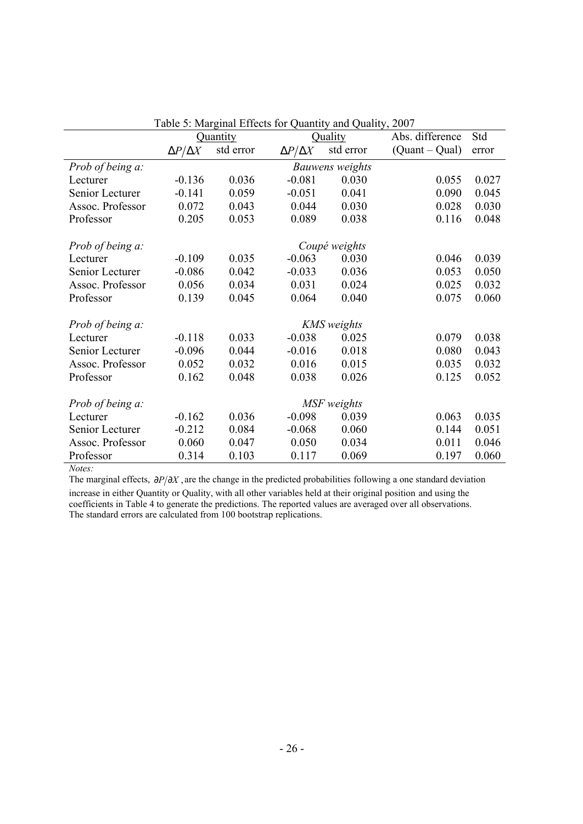|                  |                     |           | Fable 5. Ividigman Errects for Quantity and Quanty, 2007 |                    |                  |       |
|------------------|---------------------|-----------|----------------------------------------------------------|--------------------|------------------|-------|
|                  |                     | Quantity  |                                                          | Quality            | Abs. difference  | Std   |
|                  | $\Delta P/\Delta X$ | std error | $\Delta P/\Delta X$                                      | std error          | $(Quant - Qual)$ | error |
| Prob of being a: |                     |           |                                                          | Bauwens weights    |                  |       |
| Lecturer         | $-0.136$            | 0.036     | $-0.081$                                                 | 0.030              | 0.055            | 0.027 |
| Senior Lecturer  | $-0.141$            | 0.059     | $-0.051$                                                 | 0.041              | 0.090            | 0.045 |
| Assoc. Professor | 0.072               | 0.043     | 0.044                                                    | 0.030              | 0.028            | 0.030 |
| Professor        | 0.205               | 0.053     | 0.089                                                    | 0.038              | 0.116            | 0.048 |
| Prob of being a: |                     |           |                                                          | Coupé weights      |                  |       |
| Lecturer         | $-0.109$            | 0.035     | $-0.063$                                                 | 0.030              | 0.046            | 0.039 |
| Senior Lecturer  | $-0.086$            | 0.042     | $-0.033$                                                 | 0.036              | 0.053            | 0.050 |
| Assoc. Professor | 0.056               | 0.034     | 0.031                                                    | 0.024              | 0.025            | 0.032 |
| Professor        | 0.139               | 0.045     | 0.064                                                    | 0.040              | 0.075            | 0.060 |
|                  |                     |           |                                                          |                    |                  |       |
| Prob of being a: |                     | 0.033     |                                                          | <b>KMS</b> weights |                  |       |
| Lecturer         | $-0.118$            |           | $-0.038$                                                 | 0.025              | 0.079            | 0.038 |
| Senior Lecturer  | $-0.096$            | 0.044     | $-0.016$                                                 | 0.018              | 0.080            | 0.043 |
| Assoc. Professor | 0.052               | 0.032     | 0.016                                                    | 0.015              | 0.035            | 0.032 |
| Professor        | 0.162               | 0.048     | 0.038                                                    | 0.026              | 0.125            | 0.052 |
| Prob of being a: |                     |           |                                                          | MSF weights        |                  |       |
| Lecturer         | $-0.162$            | 0.036     | $-0.098$                                                 | 0.039              | 0.063            | 0.035 |
| Senior Lecturer  | $-0.212$            | 0.084     | $-0.068$                                                 | 0.060              | 0.144            | 0.051 |
| Assoc. Professor | 0.060               | 0.047     | 0.050                                                    | 0.034              | 0.011            | 0.046 |
| Professor        | 0.314               | 0.103     | 0.117                                                    | 0.069              | 0.197            | 0.060 |

| Table 5: Marginal Effects for Quantity and Quality, 2007 |  |  |
|----------------------------------------------------------|--|--|
|                                                          |  |  |

*Notes:*

The marginal effects,  $∂P/∂X$ , are the change in the predicted probabilities following a one standard deviation increase in either Quantity or Quality, with all other variables held at their original position and using the coefficients in Table 4 to generate the predictions. The reported values are averaged over all observations. The standard errors are calculated from 100 bootstrap replications.